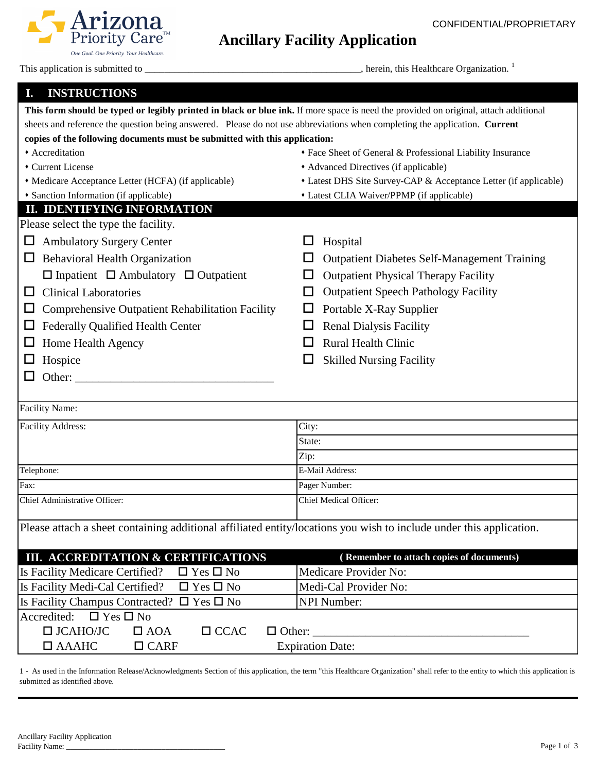## **Ancillary Facility Application**

This application is submitted to \_\_\_\_\_\_\_\_\_\_\_\_\_\_\_\_\_\_\_\_\_\_\_\_\_\_\_\_\_\_\_\_\_\_\_\_\_\_\_\_\_\_\_\_, herein, this Healthcare Organization. <sup>1</sup>

Arizona

One Goal. One Priority. Your Healthcare.

## **I. INSTRUCTIONS**

| This form should be typed or legibly printed in black or blue ink. If more space is need the provided on original, attach additional |                                                                  |  |  |
|--------------------------------------------------------------------------------------------------------------------------------------|------------------------------------------------------------------|--|--|
| sheets and reference the question being answered. Please do not use abbreviations when completing the application. Current           |                                                                  |  |  |
| copies of the following documents must be submitted with this application:                                                           |                                                                  |  |  |
| • Accreditation                                                                                                                      | • Face Sheet of General & Professional Liability Insurance       |  |  |
| Current License                                                                                                                      | • Advanced Directives (if applicable)                            |  |  |
| • Medicare Acceptance Letter (HCFA) (if applicable)                                                                                  | • Latest DHS Site Survey-CAP & Acceptance Letter (if applicable) |  |  |
| • Sanction Information (if applicable)                                                                                               | • Latest CLIA Waiver/PPMP (if applicable)                        |  |  |
| <b>II. IDENTIFYING INFORMATION</b>                                                                                                   |                                                                  |  |  |
| Please select the type the facility.                                                                                                 |                                                                  |  |  |
| <b>Ambulatory Surgery Center</b><br>ப                                                                                                | Hospital<br>ப                                                    |  |  |
| <b>Behavioral Health Organization</b><br>$\Box$                                                                                      | <b>Outpatient Diabetes Self-Management Training</b>              |  |  |
| $\Box$ Inpatient $\Box$ Ambulatory $\Box$ Outpatient                                                                                 | <b>Outpatient Physical Therapy Facility</b><br>$\Box$            |  |  |
| <b>Clinical Laboratories</b><br>ப                                                                                                    | <b>Outpatient Speech Pathology Facility</b><br>$\Box$            |  |  |
| <b>Comprehensive Outpatient Rehabilitation Facility</b><br>ப                                                                         | Portable X-Ray Supplier<br>$\Box$                                |  |  |
| <b>Federally Qualified Health Center</b><br>ப                                                                                        | <b>Renal Dialysis Facility</b><br>ப                              |  |  |
| Home Health Agency<br>ப                                                                                                              | <b>Rural Health Clinic</b><br>l 1                                |  |  |
| Hospice<br>ப                                                                                                                         | <b>Skilled Nursing Facility</b>                                  |  |  |
|                                                                                                                                      |                                                                  |  |  |
|                                                                                                                                      |                                                                  |  |  |
| <b>Facility Name:</b>                                                                                                                |                                                                  |  |  |
| Facility Address:                                                                                                                    | City:                                                            |  |  |
|                                                                                                                                      | State:                                                           |  |  |
|                                                                                                                                      | Zip:                                                             |  |  |
| Telephone:                                                                                                                           | E-Mail Address:                                                  |  |  |
| Fax:                                                                                                                                 | Pager Number:                                                    |  |  |
|                                                                                                                                      |                                                                  |  |  |
| Chief Administrative Officer:                                                                                                        | Chief Medical Officer:                                           |  |  |
|                                                                                                                                      |                                                                  |  |  |
| Please attach a sheet containing additional affiliated entity/locations you wish to include under this application.                  |                                                                  |  |  |
| <b>III. ACCREDITATION &amp; CERTIFICATIONS</b>                                                                                       | (Remember to attach copies of documents)                         |  |  |
| Is Facility Medicare Certified?<br>$\Box$ Yes $\Box$ No                                                                              | <b>Medicare Provider No:</b>                                     |  |  |
| Is Facility Medi-Cal Certified?<br>$\Box$ Yes $\Box$ No                                                                              | Medi-Cal Provider No:                                            |  |  |
| Is Facility Champus Contracted? $\square$ Yes $\square$ No                                                                           | <b>NPI Number:</b>                                               |  |  |
| $\Box$ Yes $\Box$ No<br>Accredited:                                                                                                  |                                                                  |  |  |
| $\Box$ JCAHO/JC<br>$\Box$ CCAC<br>$\Box$ AOA<br>$\Box$ Other:                                                                        |                                                                  |  |  |

1 - As used in the Information Release/Acknowledgments Section of this application, the term "this Healthcare Organization" shall refer to the entity to which this application is submitted as identified above.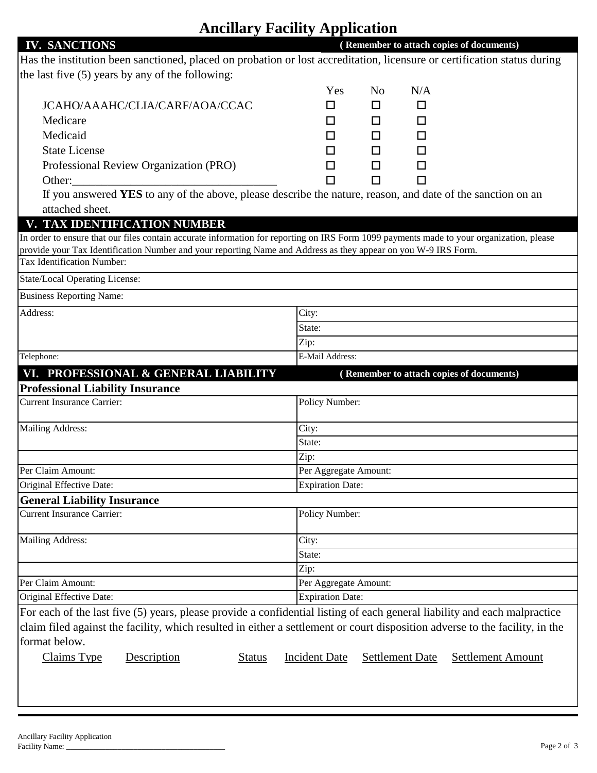## **Ancillary Facility Application**

| <b>IV. SANCTIONS</b>                                                                                                                                                                                                                                                       |               |                         |                |                        | (Remember to attach copies of documents) |
|----------------------------------------------------------------------------------------------------------------------------------------------------------------------------------------------------------------------------------------------------------------------------|---------------|-------------------------|----------------|------------------------|------------------------------------------|
| Has the institution been sanctioned, placed on probation or lost accreditation, licensure or certification status during                                                                                                                                                   |               |                         |                |                        |                                          |
| the last five (5) years by any of the following:                                                                                                                                                                                                                           |               |                         |                |                        |                                          |
|                                                                                                                                                                                                                                                                            |               | Yes                     | N <sub>0</sub> | N/A                    |                                          |
| JCAHO/AAAHC/CLIA/CARF/AOA/CCAC                                                                                                                                                                                                                                             |               | □                       | □              | □                      |                                          |
| Medicare                                                                                                                                                                                                                                                                   |               | □                       | □              | □                      |                                          |
| Medicaid                                                                                                                                                                                                                                                                   |               | □                       | □              | □                      |                                          |
| <b>State License</b>                                                                                                                                                                                                                                                       |               | □                       | □              | □                      |                                          |
| Professional Review Organization (PRO)                                                                                                                                                                                                                                     |               | □                       | □              | П                      |                                          |
| Other:                                                                                                                                                                                                                                                                     |               | П                       | П              | П                      |                                          |
| If you answered YES to any of the above, please describe the nature, reason, and date of the sanction on an                                                                                                                                                                |               |                         |                |                        |                                          |
| attached sheet.                                                                                                                                                                                                                                                            |               |                         |                |                        |                                          |
| V. TAX IDENTIFICATION NUMBER                                                                                                                                                                                                                                               |               |                         |                |                        |                                          |
| In order to ensure that our files contain accurate information for reporting on IRS Form 1099 payments made to your organization, please                                                                                                                                   |               |                         |                |                        |                                          |
| provide your Tax Identification Number and your reporting Name and Address as they appear on you W-9 IRS Form.                                                                                                                                                             |               |                         |                |                        |                                          |
| Tax Identification Number:                                                                                                                                                                                                                                                 |               |                         |                |                        |                                          |
| <b>State/Local Operating License:</b>                                                                                                                                                                                                                                      |               |                         |                |                        |                                          |
| <b>Business Reporting Name:</b>                                                                                                                                                                                                                                            |               |                         |                |                        |                                          |
| Address:                                                                                                                                                                                                                                                                   |               | City:                   |                |                        |                                          |
|                                                                                                                                                                                                                                                                            |               | State:                  |                |                        |                                          |
|                                                                                                                                                                                                                                                                            |               | Zip:                    |                |                        |                                          |
| Telephone:                                                                                                                                                                                                                                                                 |               | E-Mail Address:         |                |                        |                                          |
| VI. PROFESSIONAL & GENERAL LIABILITY                                                                                                                                                                                                                                       |               |                         |                |                        | (Remember to attach copies of documents) |
| <b>Professional Liability Insurance</b>                                                                                                                                                                                                                                    |               |                         |                |                        |                                          |
| <b>Current Insurance Carrier:</b>                                                                                                                                                                                                                                          |               | Policy Number:          |                |                        |                                          |
| <b>Mailing Address:</b>                                                                                                                                                                                                                                                    |               | City:                   |                |                        |                                          |
|                                                                                                                                                                                                                                                                            |               | State:                  |                |                        |                                          |
|                                                                                                                                                                                                                                                                            |               | Zip:                    |                |                        |                                          |
| Per Claim Amount:                                                                                                                                                                                                                                                          |               | Per Aggregate Amount:   |                |                        |                                          |
| Original Effective Date:                                                                                                                                                                                                                                                   |               | <b>Expiration Date:</b> |                |                        |                                          |
| <b>General Liability Insurance</b>                                                                                                                                                                                                                                         |               |                         |                |                        |                                          |
| <b>Current Insurance Carrier:</b>                                                                                                                                                                                                                                          |               | Policy Number:          |                |                        |                                          |
| <b>Mailing Address:</b>                                                                                                                                                                                                                                                    |               | City:                   |                |                        |                                          |
|                                                                                                                                                                                                                                                                            |               | State:                  |                |                        |                                          |
|                                                                                                                                                                                                                                                                            |               | Zip:                    |                |                        |                                          |
| Per Claim Amount:                                                                                                                                                                                                                                                          |               | Per Aggregate Amount:   |                |                        |                                          |
| Original Effective Date:                                                                                                                                                                                                                                                   |               | <b>Expiration Date:</b> |                |                        |                                          |
| For each of the last five (5) years, please provide a confidential listing of each general liability and each malpractice<br>claim filed against the facility, which resulted in either a settlement or court disposition adverse to the facility, in the<br>format below. |               |                         |                |                        |                                          |
| Claims Type<br>Description                                                                                                                                                                                                                                                 | <b>Status</b> | <b>Incident Date</b>    |                | <b>Settlement Date</b> | <b>Settlement Amount</b>                 |
|                                                                                                                                                                                                                                                                            |               |                         |                |                        |                                          |